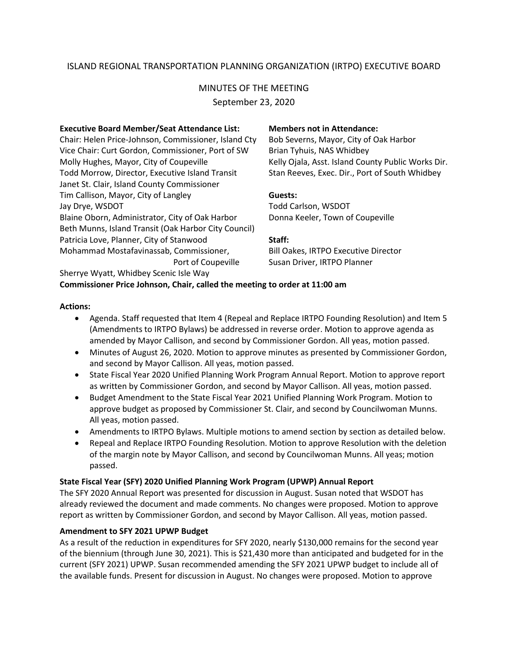## ISLAND REGIONAL TRANSPORTATION PLANNING ORGANIZATION (IRTPO) EXECUTIVE BOARD

# MINUTES OF THE MEETING

September 23, 2020

### **Executive Board Member/Seat Attendance List: Members not in Attendance:**

Chair: Helen Price-Johnson, Commissioner, Island Cty Bob Severns, Mayor, City of Oak Harbor Vice Chair: Curt Gordon, Commissioner, Port of SW Brian Tyhuis, NAS Whidbey Molly Hughes, Mayor, City of Coupeville Kelly Ojala, Asst. Island County Public Works Dir. Todd Morrow, Director, Executive Island Transit Stan Reeves, Exec. Dir., Port of South Whidbey Janet St. Clair, Island County Commissioner Tim Callison, Mayor, City of Langley **Guests:** Jay Drye, WSDOT **The Carlson Carlson**, WSDOT Blaine Oborn, Administrator, City of Oak Harbor Donna Keeler, Town of Coupeville Beth Munns, Island Transit (Oak Harbor City Council) Patricia Love, Planner, City of Stanwood **Staff:** Mohammad Mostafavinassab, Commissioner, Bill Oakes, IRTPO Executive Director

Port of Coupeville Susan Driver, IRTPO Planner

#### Sherrye Wyatt, Whidbey Scenic Isle Way **Commissioner Price Johnson, Chair, called the meeting to order at 11:00 am**

#### **Actions:**

- Agenda. Staff requested that Item 4 (Repeal and Replace IRTPO Founding Resolution) and Item 5 (Amendments to IRTPO Bylaws) be addressed in reverse order. Motion to approve agenda as amended by Mayor Callison, and second by Commissioner Gordon. All yeas, motion passed.
- Minutes of August 26, 2020. Motion to approve minutes as presented by Commissioner Gordon, and second by Mayor Callison. All yeas, motion passed.
- State Fiscal Year 2020 Unified Planning Work Program Annual Report. Motion to approve report as written by Commissioner Gordon, and second by Mayor Callison. All yeas, motion passed.
- Budget Amendment to the State Fiscal Year 2021 Unified Planning Work Program. Motion to approve budget as proposed by Commissioner St. Clair, and second by Councilwoman Munns. All yeas, motion passed.
- Amendments to IRTPO Bylaws. Multiple motions to amend section by section as detailed below.
- Repeal and Replace IRTPO Founding Resolution. Motion to approve Resolution with the deletion of the margin note by Mayor Callison, and second by Councilwoman Munns. All yeas; motion passed.

### **State Fiscal Year (SFY) 2020 Unified Planning Work Program (UPWP) Annual Report**

The SFY 2020 Annual Report was presented for discussion in August. Susan noted that WSDOT has already reviewed the document and made comments. No changes were proposed. Motion to approve report as written by Commissioner Gordon, and second by Mayor Callison. All yeas, motion passed.

### **Amendment to SFY 2021 UPWP Budget**

As a result of the reduction in expenditures for SFY 2020, nearly \$130,000 remains for the second year of the biennium (through June 30, 2021). This is \$21,430 more than anticipated and budgeted for in the current (SFY 2021) UPWP. Susan recommended amending the SFY 2021 UPWP budget to include all of the available funds. Present for discussion in August. No changes were proposed. Motion to approve